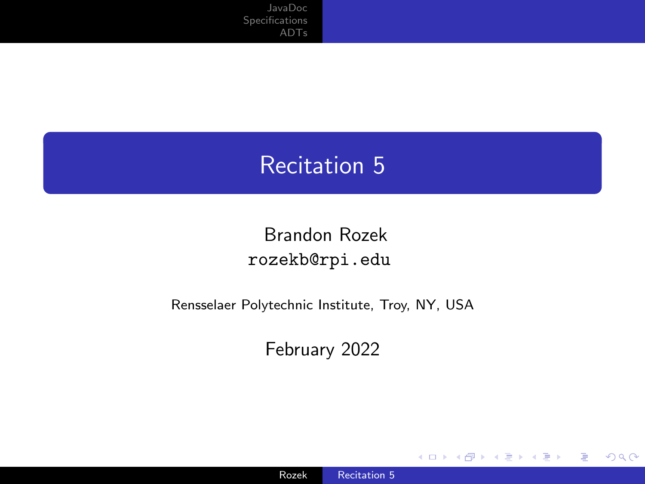#### <span id="page-0-0"></span>Recitation 5

Brandon Rozek [rozekb@rpi.edu](mailto:rozekb@rpi.edu)

Rensselaer Polytechnic Institute, Troy, NY, USA

February 2022

4 ロ ト 4 伊

∍

 $\sim$ к

**SIL** 

경기 э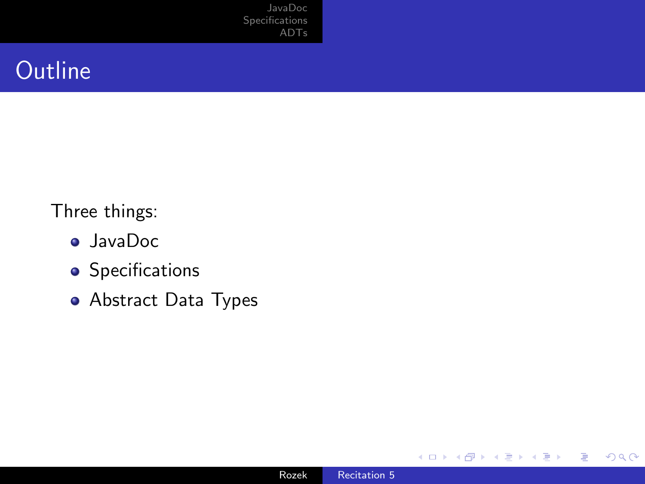### **Outline**

Three things:

- JavaDoc
- **•** Specifications
- Abstract Data Types

4 III F

к 凸  $\rightarrow$  Ξ

Þ к -b E

≣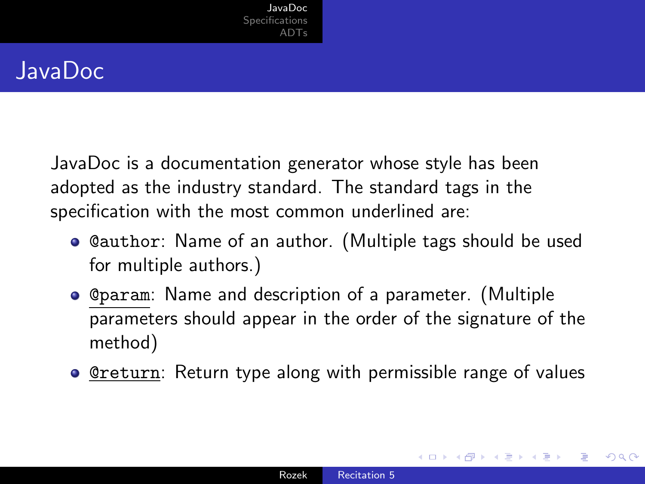### <span id="page-2-0"></span>JavaDoc

JavaDoc is a documentation generator whose style has been adopted as the industry standard. The standard tags in the specification with the most common underlined are:

- @author: Name of an author. (Multiple tags should be used for multiple authors.)
- @param: Name and description of a parameter. (Multiple parameters should appear in the order of the signature of the method)
- **• <u>@return</u>:** Return type along with permissible range of values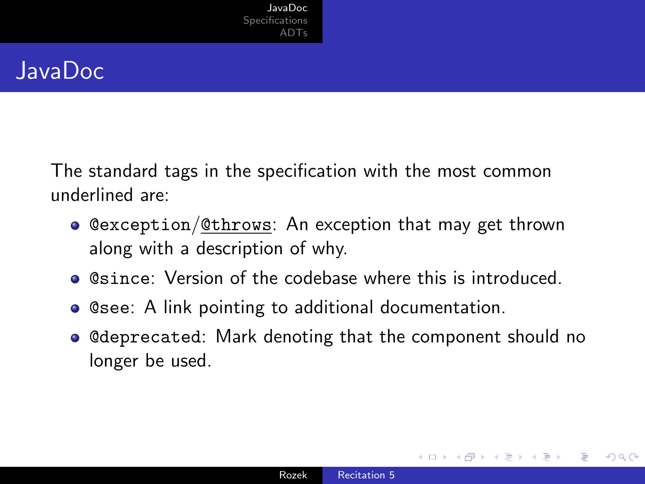### JavaDoc

The standard tags in the specification with the most common underlined are:

- @exception/@throws: An exception that may get thrown along with a description of why.
- **.** @since: Version of the codebase where this is introduced.
- **Casee: A link pointing to additional documentation.**
- **Convident Control**: Mark denoting that the component should no longer be used.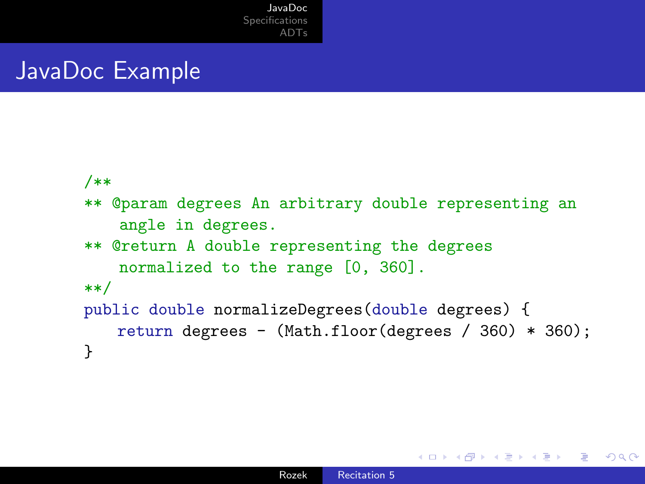### JavaDoc Example

```
/**
** @param degrees An arbitrary double representing an
   angle in degrees.
** @return A double representing the degrees
   normalized to the range [0, 360].
**/
public double normalizeDegrees(double degrees) {
   return degrees - (Math.floor(degrees / 360) * 360);
}
```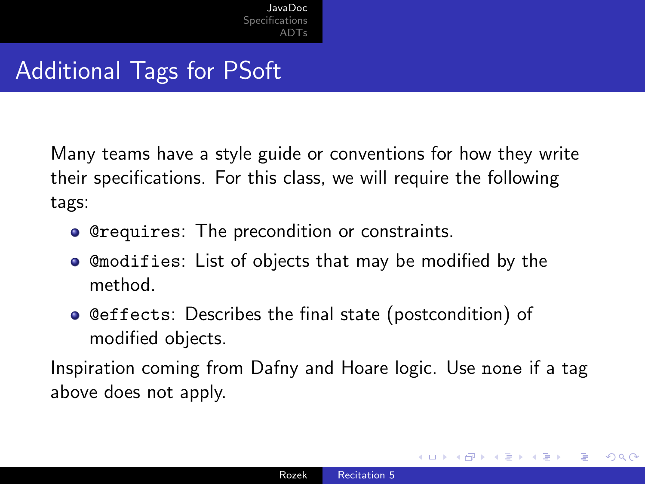# Additional Tags for PSoft

Many teams have a style guide or conventions for how they write their specifications. For this class, we will require the following tags:

- **Crequires:** The precondition or constraints.
- @modifies: List of objects that may be modified by the method.
- **Ceffects: Describes the final state (postcondition) of** modified objects.

Inspiration coming from Dafny and Hoare logic. Use none if a tag above does not apply.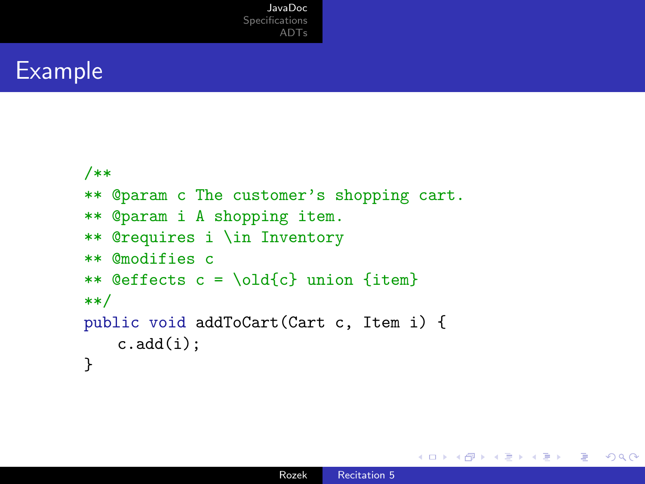#### Example

```
/**
** @param c The customer's shopping cart.
** @param i A shopping item.
** @requires i \in Inventory
** @modifies c
** @effects c = \old{c} union {item}
**/
public void addToCart(Cart c, Item i) {
   c.add(i);}
```
 $299$ 

э

∢ 何 ▶ ∢ 手 ▶ ∢ 手 ▶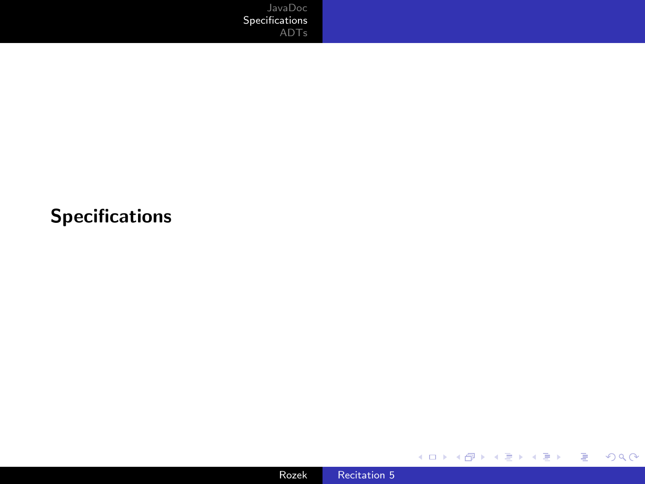#### <span id="page-7-0"></span>Specifications



メロトメ 御 トメ 君 トメ 君 トー

重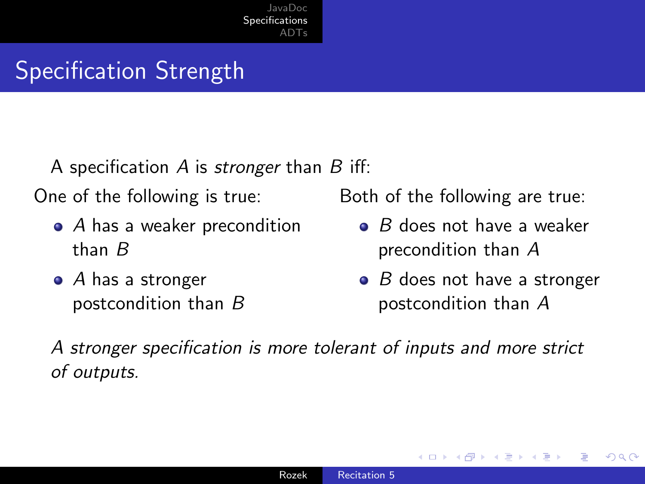## Specification Strength

A specification  $A$  is *stronger* than  $B$  iff:

One of the following is true:

- A has a weaker precondition than B
- $\bullet$  A has a stronger postcondition than B

Both of the following are true:

- $\bullet$  B does not have a weaker precondition than A
- $\bullet$  B does not have a stronger postcondition than A

つくへ

A stronger specification is more tolerant of inputs and more strict of outputs.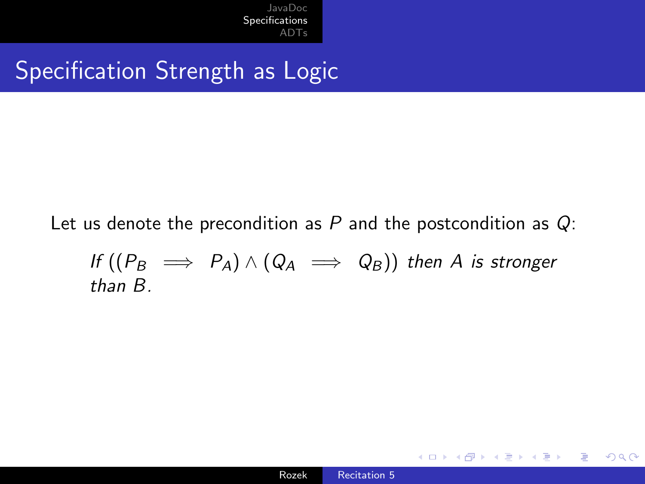## Specification Strength as Logic

Let us denote the precondition as  $P$  and the postcondition as  $Q$ :

If 
$$
((P_B \implies P_A) \land (Q_A \implies Q_B))
$$
 then A is stronger  
than B.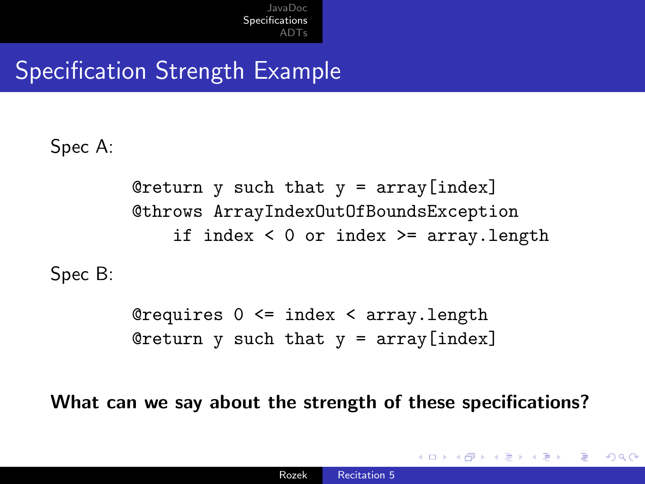# Specification Strength Example

Spec A:

Creturn  $y$  such that  $y = \arctan[\text{index}]$ @throws ArrayIndexOutOfBoundsException if index  $< 0$  or index  $>=$  array. length

Spec B:

@requires 0 <= index < array.length Creturn y such that  $y = \arctan[\text{index}]$ 

What can we say about the strength of these specifications?

 $\Omega$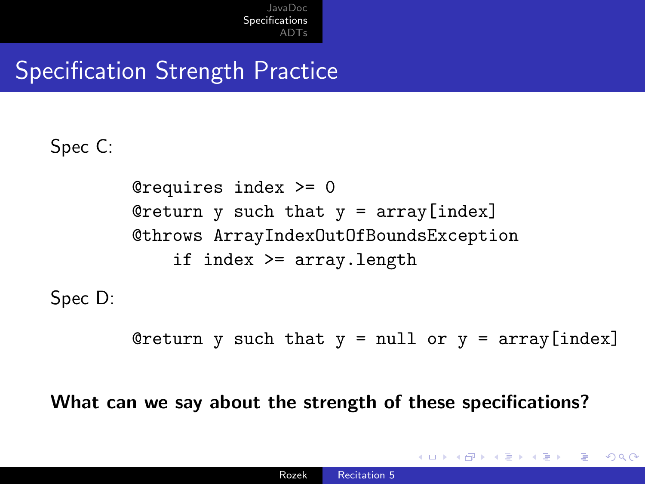## Specification Strength Practice

Spec C:

```
@requires index >= 0
Creturn y such that y = \arctan[\text{index}]@throws ArrayIndexOutOfBoundsException
    if index >= array.length
```
Spec D:

Creturn y such that  $y = null$  or  $y = array[index]$ 

 $\Omega$ 

What can we say about the strength of these specifications?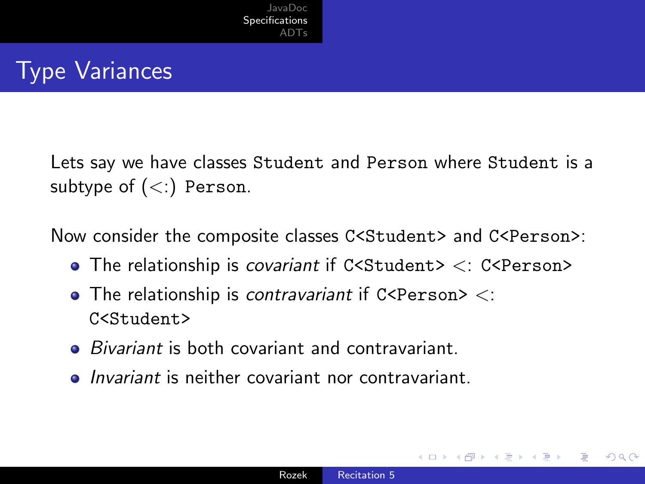## Type Variances

Lets say we have classes Student and Person where Student is a subtype of  $(<)$  Person.

Now consider the composite classes C<Student> and C<Person>:

- $\bullet$  The relationship is *covariant* if C<Student>  $\lt$ : C<Person>
- $\bullet$  The relationship is contravariant if C<Person> <: C<Student>
- *Bivariant* is both covariant and contravariant.
- **•** *Invariant* is neither covariant nor contravariant.

つくへ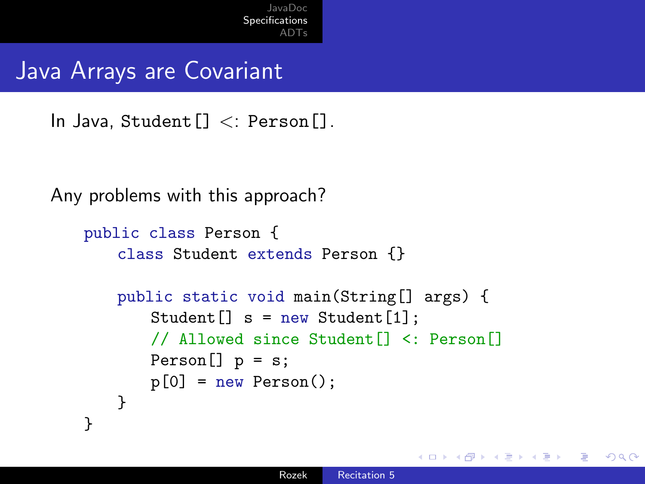### Java Arrays are Covariant

In Java, Student[] <: Person[].

```
Any problems with this approach?
```

```
public class Person {
   class Student extends Person {}
   public static void main(String[] args) {
       Student [] s = new Student [1];
       // Allowed since Student[] <: Person[]
       Person[] p = s;p[0] = new Person();
   }
}
```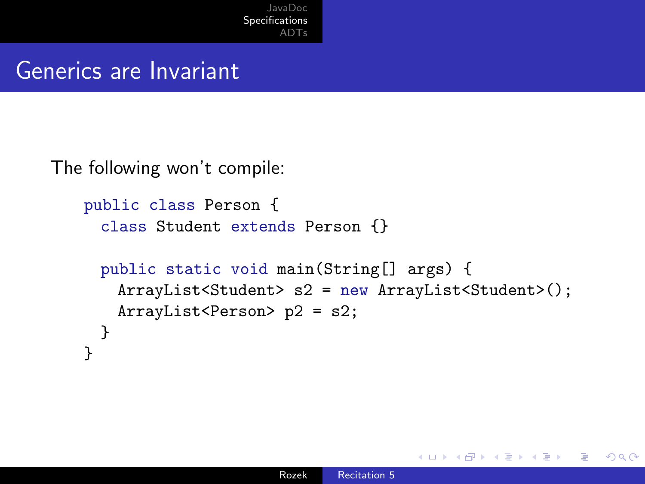#### Generics are Invariant

The following won't compile:

```
public class Person {
 class Student extends Person {}
 public static void main(String[] args) {
   ArrayList<Student> s2 = new ArrayList<Student>();
   ArrayList<Person> p2 = s2;
 }
}
```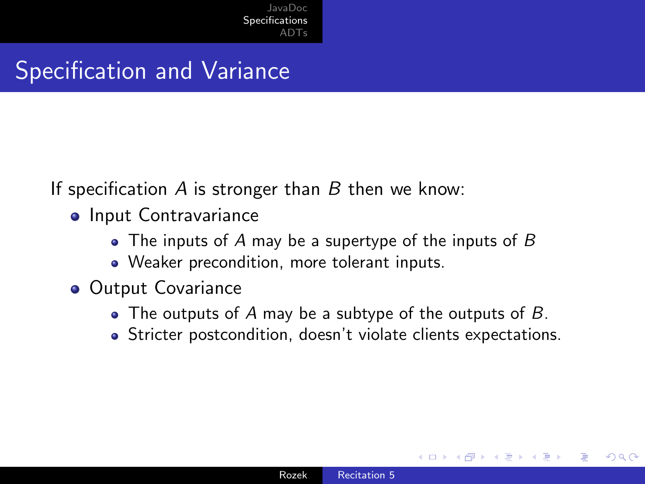### Specification and Variance

If specification  $A$  is stronger than  $B$  then we know:

- **o** Input Contravariance
	- The inputs of  $A$  may be a supertype of the inputs of  $B$
	- Weaker precondition, more tolerant inputs.
- Output Covariance
	- The outputs of A may be a subtype of the outputs of  $B$ .
	- Stricter postcondition, doesn't violate clients expectations.

つくへ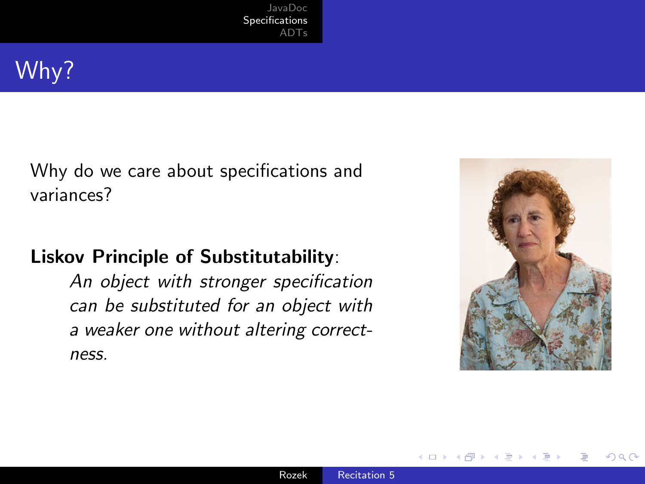

Why do we care about specifications and variances?

#### Liskov Principle of Substitutability:

An object with stronger specification can be substituted for an object with a weaker one without altering correctness.



つくへ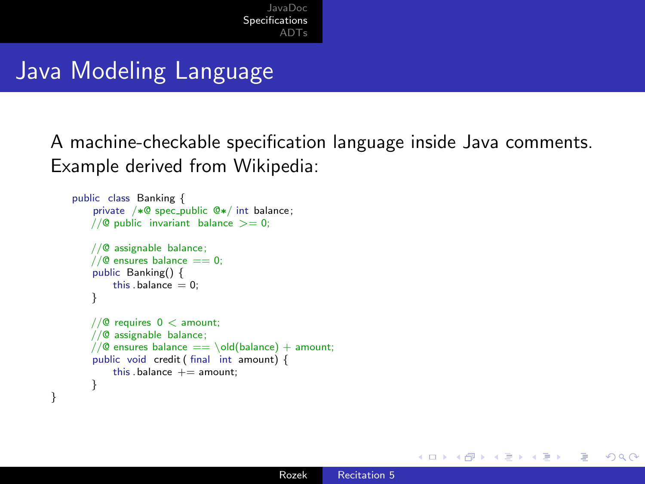### Java Modeling Language

}

A machine-checkable specification language inside Java comments. Example derived from Wikipedia:

```
public class Banking {
    private /∗@ spec_public @∗/ int balance;
   //\theta public invariant balance >= 0:
   //@ assignable balance;
   1/10 ensures balance == 0:
    public Banking() {
        this \Deltabalance = 0;
    }
   //@ requires 0 < amount;
   //@ assignable balance;
   //@ ensures balance == \old(balance) + amount;
    public void credit ( final int amount) {
        this . balance += amount;
    }
```
∢ロ ▶ ∢何 ▶ ∢ ヨ ▶ ∢ ヨ ▶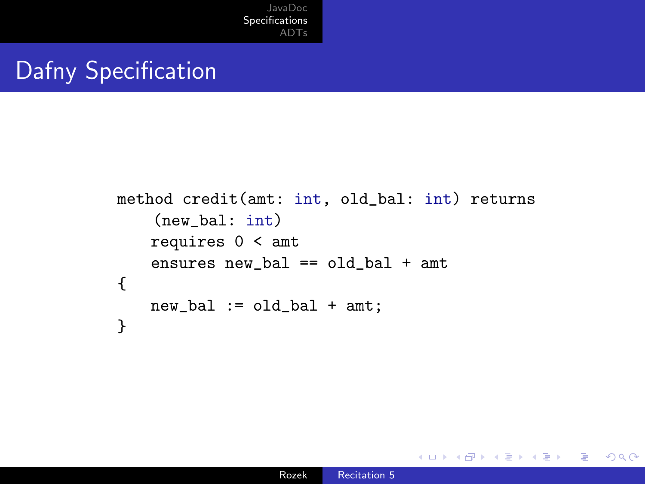## Dafny Specification

```
method credit(amt: int, old_bal: int) returns
    (new_bal: int)
   requires 0 < amt
   ensures new_bal == old_bal + amt
{
   new\_bal := old\_bal + amt;}
```
4 0 5

 $299$ 

э

医尿蛋白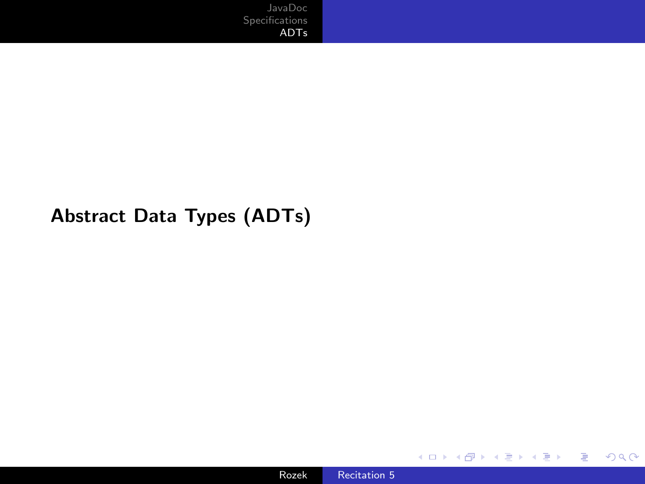#### <span id="page-19-0"></span>Abstract Data Types (ADTs)



目

어서 동시

**K ロ ▶ K 伊 ▶ K ミ**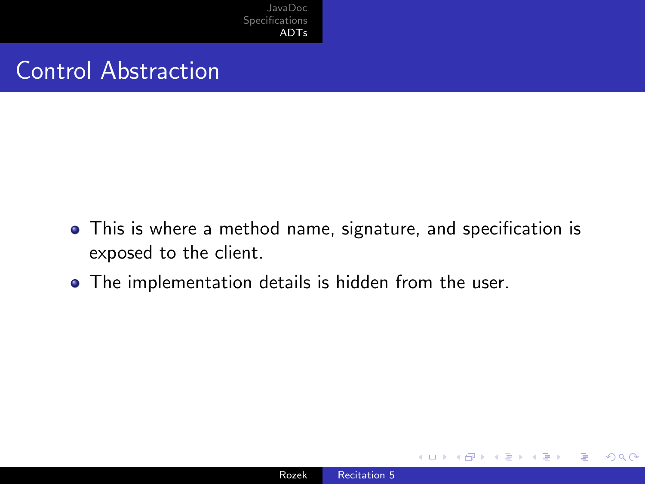### Control Abstraction

- This is where a method name, signature, and specification is exposed to the client.
- The implementation details is hidden from the user.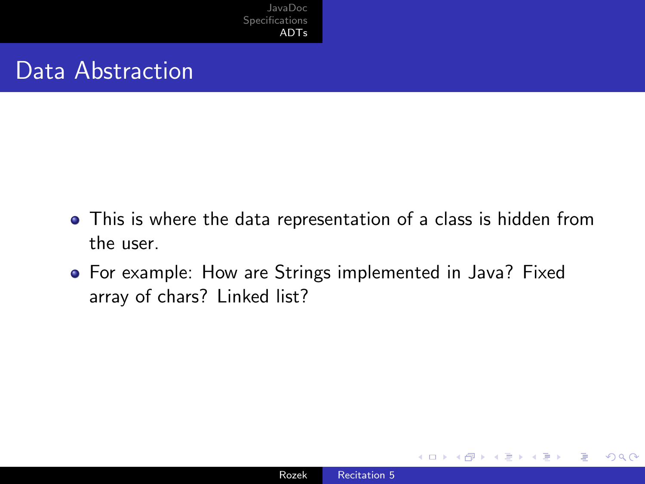### Data Abstraction

- This is where the data representation of a class is hidden from the user.
- For example: How are Strings implemented in Java? Fixed array of chars? Linked list?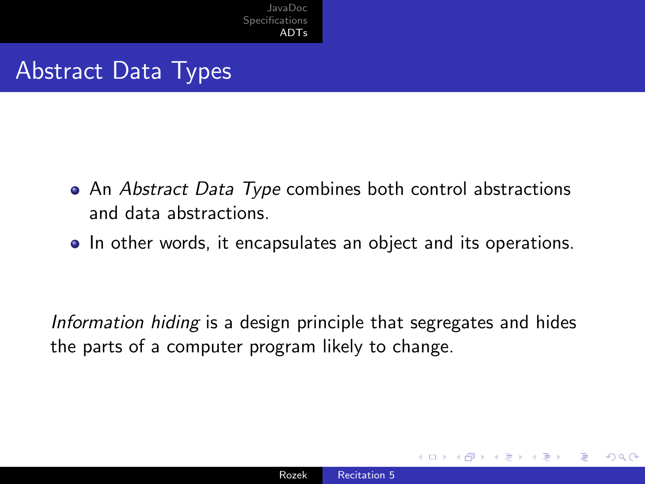## Abstract Data Types

- An Abstract Data Type combines both control abstractions and data abstractions.
- In other words, it encapsulates an object and its operations.

Information hiding is a design principle that segregates and hides the parts of a computer program likely to change.

つくへ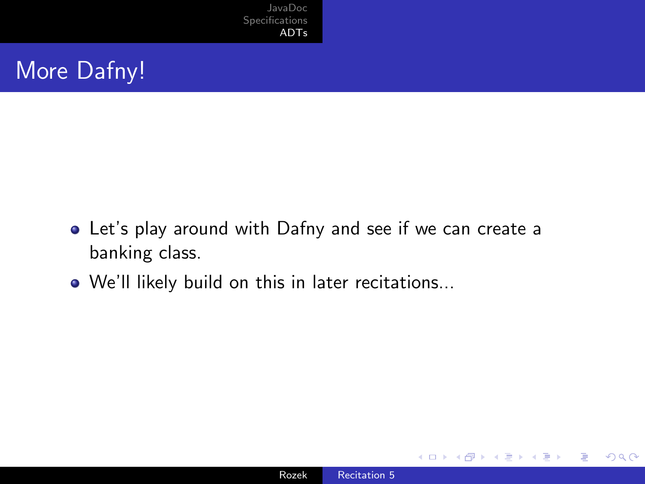### More Dafny!

- Let's play around with Dafny and see if we can create a banking class.
- We'll likely build on this in later recitations...

4 **ED** 

 $299$ 

∍